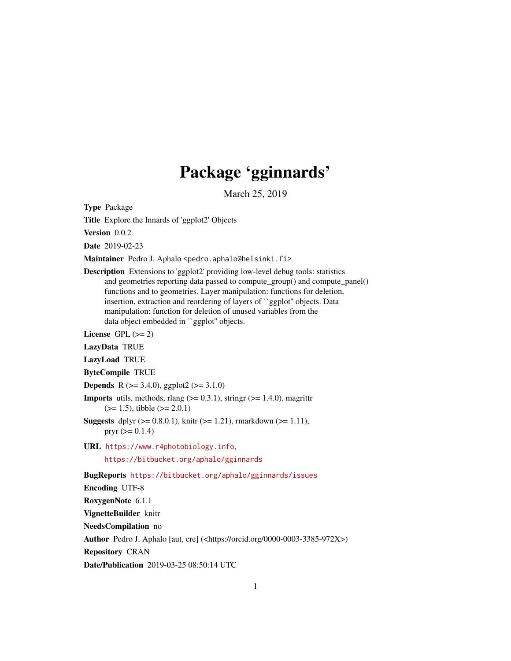# Package 'gginnards'

March 25, 2019

<span id="page-0-0"></span>Type Package

Title Explore the Innards of 'ggplot2' Objects

Version 0.0.2

Date 2019-02-23

Maintainer Pedro J. Aphalo <pedro.aphalo@helsinki.fi>

Description Extensions to 'ggplot2' providing low-level debug tools: statistics and geometries reporting data passed to compute\_group() and compute\_panel() functions and to geometries. Layer manipulation: functions for deletion, insertion, extraction and reordering of layers of ``ggplot'' objects. Data manipulation: function for deletion of unused variables from the data object embedded in ``ggplot'' objects.

License GPL  $(>= 2)$ 

LazyData TRUE

- LazyLoad TRUE
- ByteCompile TRUE
- **Depends** R ( $>= 3.4.0$ ), ggplot2 ( $>= 3.1.0$ )

**Imports** utils, methods, rlang  $(>= 0.3.1)$ , stringr  $(>= 1.4.0)$ , magrittr  $(>= 1.5)$ , tibble  $(>= 2.0.1)$ 

**Suggests** dplyr ( $> = 0.8.0.1$ ), knitr ( $> = 1.21$ ), rmarkdown ( $> = 1.11$ ), pryr  $(>= 0.1.4)$ 

URL <https://www.r4photobiology.info>, <https://bitbucket.org/aphalo/gginnards>

BugReports <https://bitbucket.org/aphalo/gginnards/issues>

Encoding UTF-8

RoxygenNote 6.1.1

VignetteBuilder knitr

NeedsCompilation no

Author Pedro J. Aphalo [aut, cre] (<https://orcid.org/0000-0003-3385-972X>)

Repository CRAN

Date/Publication 2019-03-25 08:50:14 UTC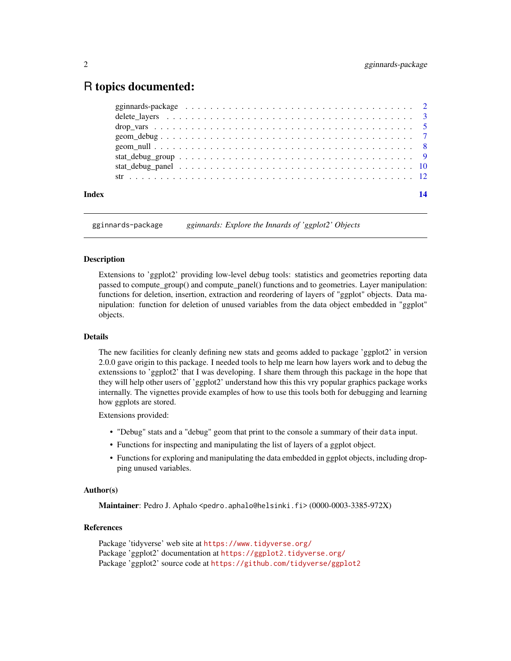# <span id="page-1-0"></span>R topics documented:

| Index | 14 |
|-------|----|
|       |    |
|       |    |
|       |    |
|       |    |
|       |    |
|       |    |
|       |    |
|       |    |

gginnards-package *gginnards: Explore the Innards of 'ggplot2' Objects*

#### Description

Extensions to 'ggplot2' providing low-level debug tools: statistics and geometries reporting data passed to compute\_group() and compute\_panel() functions and to geometries. Layer manipulation: functions for deletion, insertion, extraction and reordering of layers of "ggplot" objects. Data manipulation: function for deletion of unused variables from the data object embedded in "ggplot" objects.

#### Details

The new facilities for cleanly defining new stats and geoms added to package 'ggplot2' in version 2.0.0 gave origin to this package. I needed tools to help me learn how layers work and to debug the extenssions to 'ggplot2' that I was developing. I share them through this package in the hope that they will help other users of 'ggplot2' understand how this this vry popular graphics package works internally. The vignettes provide examples of how to use this tools both for debugging and learning how ggplots are stored.

Extensions provided:

- "Debug" stats and a "debug" geom that print to the console a summary of their data input.
- Functions for inspecting and manipulating the list of layers of a ggplot object.
- Functions for exploring and manipulating the data embedded in ggplot objects, including dropping unused variables.

#### Author(s)

Maintainer: Pedro J. Aphalo <pedro.aphalo@helsinki.fi> (0000-0003-3385-972X)

# References

Package 'tidyverse' web site at <https://www.tidyverse.org/> Package 'ggplot2' documentation at <https://ggplot2.tidyverse.org/> Package 'ggplot2' source code at <https://github.com/tidyverse/ggplot2>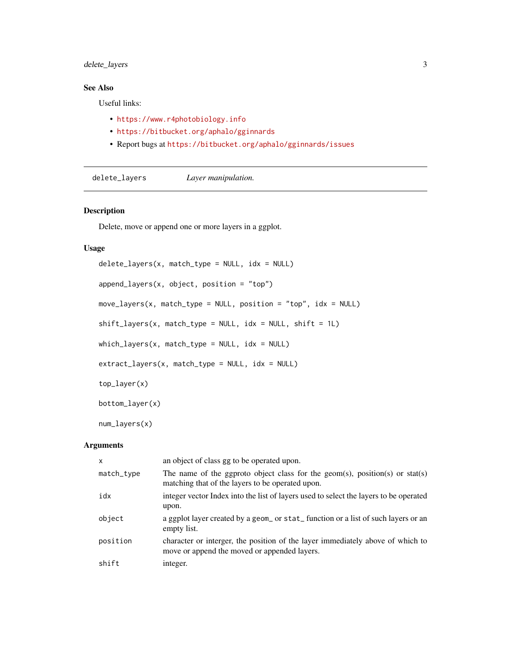# <span id="page-2-0"></span>delete\_layers 3

# See Also

Useful links:

- <https://www.r4photobiology.info>
- <https://bitbucket.org/aphalo/gginnards>
- Report bugs at <https://bitbucket.org/aphalo/gginnards/issues>

delete\_layers *Layer manipulation.*

# Description

Delete, move or append one or more layers in a ggplot.

# Usage

```
delete_layers(x, match_type = NULL, idx = NULL)
append_layers(x, object, position = "top")
move_layers(x, match_type = NULL, position = "top", idx = NULL)
shift\_layers(x, match\_type = NULL, idx = NULL, shift = 1L)which\_\layers(x, match\_\type = NULL, idx = NULL)
extract_{layers}(x, match_{type} = NULL, idx = NULL)top_layer(x)
bottom_layer(x)
num_layers(x)
```
# Arguments

| $\mathsf{x}$ | an object of class gg to be operated upon.                                                                                      |
|--------------|---------------------------------------------------------------------------------------------------------------------------------|
| match_type   | The name of the gap to object class for the geom(s), position(s) or stat(s)<br>matching that of the layers to be operated upon. |
| idx          | integer vector Index into the list of layers used to select the layers to be operated<br>upon.                                  |
| object       | a ggplot layer created by a geom_ or stat_function or a list of such layers or an<br>empty list.                                |
| position     | character or interger, the position of the layer immediately above of which to<br>move or append the moved or appended layers.  |
| shift        | integer.                                                                                                                        |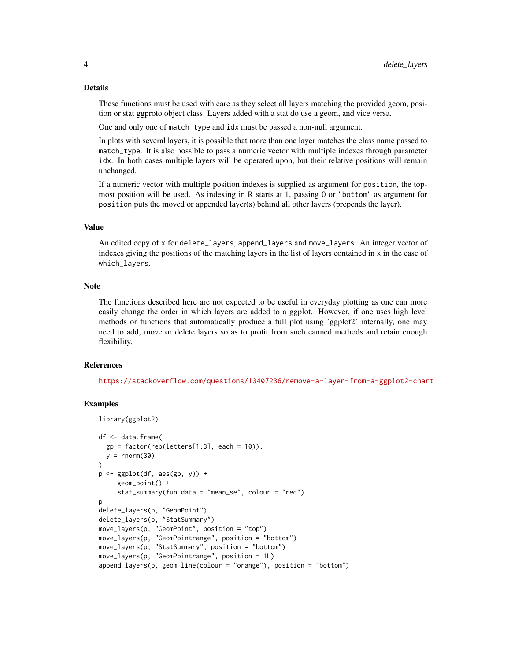#### Details

These functions must be used with care as they select all layers matching the provided geom, position or stat ggproto object class. Layers added with a stat do use a geom, and vice versa.

One and only one of match\_type and idx must be passed a non-null argument.

In plots with several layers, it is possible that more than one layer matches the class name passed to match\_type. It is also possible to pass a numeric vector with multiple indexes through parameter idx. In both cases multiple layers will be operated upon, but their relative positions will remain unchanged.

If a numeric vector with multiple position indexes is supplied as argument for position, the topmost position will be used. As indexing in R starts at 1, passing 0 or "bottom" as argument for position puts the moved or appended layer(s) behind all other layers (prepends the layer).

#### Value

An edited copy of x for delete\_layers, append\_layers and move\_layers. An integer vector of indexes giving the positions of the matching layers in the list of layers contained in x in the case of which\_layers.

#### **Note**

The functions described here are not expected to be useful in everyday plotting as one can more easily change the order in which layers are added to a ggplot. However, if one uses high level methods or functions that automatically produce a full plot using 'ggplot2' internally, one may need to add, move or delete layers so as to profit from such canned methods and retain enough flexibility.

#### References

<https://stackoverflow.com/questions/13407236/remove-a-layer-from-a-ggplot2-chart>

#### Examples

```
library(ggplot2)
df <- data.frame(
  gp = factor(rep(leftters[1:3], each = 10)),y = rnorm(30)\lambdap \leftarrow ggplot(df, aes(gp, y)) +
     geom_point() +
     stat_summary(fun.data = "mean_se", colour = "red")
p
delete_layers(p, "GeomPoint")
delete_layers(p, "StatSummary")
move_layers(p, "GeomPoint", position = "top")
move_layers(p, "GeomPointrange", position = "bottom")
move_layers(p, "StatSummary", position = "bottom")
move_layers(p, "GeomPointrange", position = 1L)
append_layers(p, geom_line(colour = "orange"), position = "bottom")
```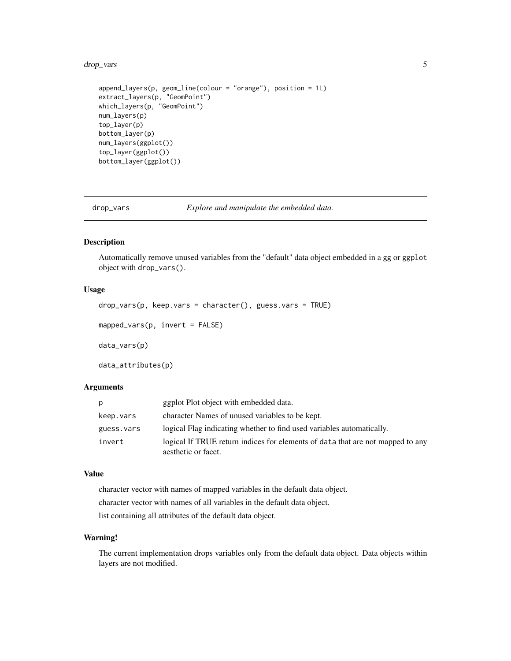<span id="page-4-0"></span>drop\_vars 5

```
append_layers(p, geom_line(colour = "orange"), position = 1L)
extract_layers(p, "GeomPoint")
which_layers(p, "GeomPoint")
num_layers(p)
top_layer(p)
bottom_layer(p)
num_layers(ggplot())
top_layer(ggplot())
bottom_layer(ggplot())
```
drop\_vars *Explore and manipulate the embedded data.*

#### Description

Automatically remove unused variables from the "default" data object embedded in a gg or ggplot object with drop\_vars().

# Usage

```
drop_vars(p, keep.vars = character(), guess.vars = TRUE)
```

```
mapped_vars(p, invert = FALSE)
```
data\_vars(p)

data\_attributes(p)

#### Arguments

| р          | ggplot Plot object with embedded data.                                                                |
|------------|-------------------------------------------------------------------------------------------------------|
| keep.vars  | character Names of unused variables to be kept.                                                       |
| guess.vars | logical Flag indicating whether to find used variables automatically.                                 |
| invert     | logical If TRUE return indices for elements of data that are not mapped to any<br>aesthetic or facet. |

# Value

character vector with names of mapped variables in the default data object.

character vector with names of all variables in the default data object.

list containing all attributes of the default data object.

# Warning!

The current implementation drops variables only from the default data object. Data objects within layers are not modified.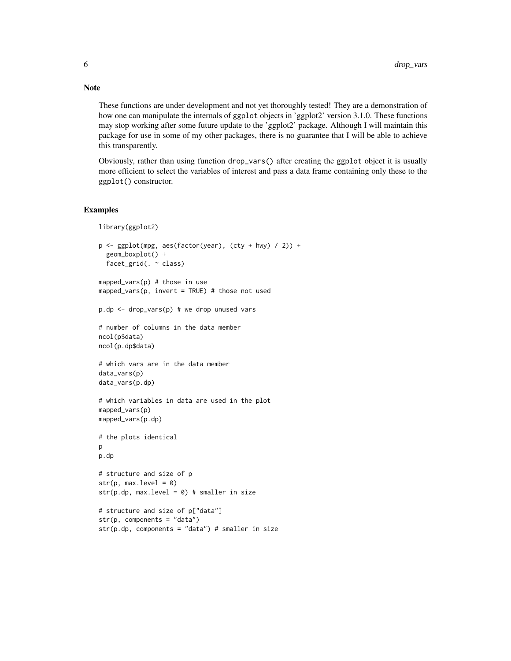These functions are under development and not yet thoroughly tested! They are a demonstration of how one can manipulate the internals of ggplot objects in 'ggplot2' version 3.1.0. These functions may stop working after some future update to the 'ggplot2' package. Although I will maintain this package for use in some of my other packages, there is no guarantee that I will be able to achieve this transparently.

Obviously, rather than using function drop\_vars() after creating the ggplot object it is usually more efficient to select the variables of interest and pass a data frame containing only these to the ggplot() constructor.

#### Examples

```
library(ggplot2)
p <- ggplot(mpg, aes(factor(year), (cty + hwy) / 2)) +
  geom_boxplot() +
  facet_grid(. ~ class)
mapped_vars(p) # those in use
mapped_vars(p, invert = TRUE) # those not used
p.dp <- drop_vars(p) # we drop unused vars
# number of columns in the data member
ncol(p$data)
ncol(p.dp$data)
# which vars are in the data member
data_vars(p)
data_vars(p.dp)
# which variables in data are used in the plot
mapped_vars(p)
mapped_vars(p.dp)
# the plots identical
p
p.dp
# structure and size of p
str(p, max. level = 0)str(p.dp, max.level = 0) # smaller in size
# structure and size of p["data"]
str(p, components = "data")
str(p.dp, components = "data") # smaller in size
```
# Note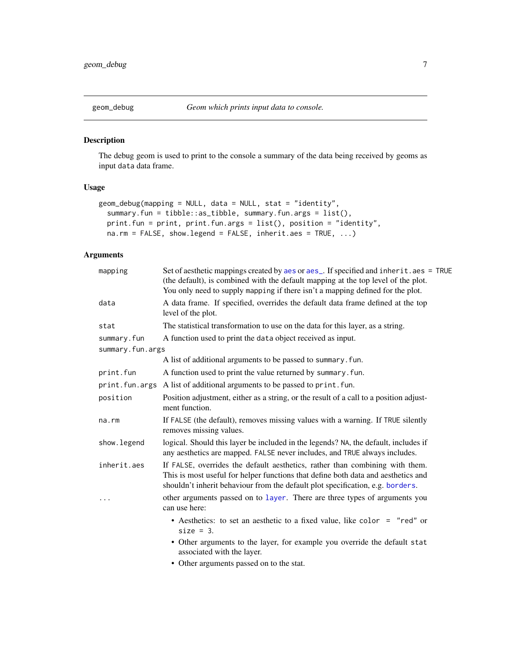<span id="page-6-0"></span>

### Description

The debug geom is used to print to the console a summary of the data being received by geoms as input data data frame.

# Usage

```
geom_debug(mapping = NULL, data = NULL, stat = "identity",
  summary.fun = tibble::as_tibble, summary.fun.args = list(),
 print.fun = print, print.fun.args = list(), position = "identity",
 na.rm = FALSE, show.legend = FALSE, inherit.aes = TRUE, ...)
```
# Arguments

| mapping          | Set of aesthetic mappings created by aes or aes_. If specified and inherit.aes = TRUE<br>(the default), is combined with the default mapping at the top level of the plot.<br>You only need to supply mapping if there isn't a mapping defined for the plot. |
|------------------|--------------------------------------------------------------------------------------------------------------------------------------------------------------------------------------------------------------------------------------------------------------|
| data             | A data frame. If specified, overrides the default data frame defined at the top<br>level of the plot.                                                                                                                                                        |
| stat             | The statistical transformation to use on the data for this layer, as a string.                                                                                                                                                                               |
| summary.fun      | A function used to print the data object received as input.                                                                                                                                                                                                  |
| summary.fun.args |                                                                                                                                                                                                                                                              |
|                  | A list of additional arguments to be passed to summary. fun.                                                                                                                                                                                                 |
| print.fun        | A function used to print the value returned by summary. fun.                                                                                                                                                                                                 |
|                  | print. fun. args A list of additional arguments to be passed to print. fun.                                                                                                                                                                                  |
| position         | Position adjustment, either as a string, or the result of a call to a position adjust-<br>ment function.                                                                                                                                                     |
| na.rm            | If FALSE (the default), removes missing values with a warning. If TRUE silently<br>removes missing values.                                                                                                                                                   |
| show. legend     | logical. Should this layer be included in the legends? NA, the default, includes if<br>any aesthetics are mapped. FALSE never includes, and TRUE always includes.                                                                                            |
| inherit.aes      | If FALSE, overrides the default aesthetics, rather than combining with them.<br>This is most useful for helper functions that define both data and aesthetics and<br>shouldn't inherit behaviour from the default plot specification, e.g. borders.          |
| $\cdots$         | other arguments passed on to layer. There are three types of arguments you<br>can use here:                                                                                                                                                                  |
|                  | • Aesthetics: to set an aesthetic to a fixed value, like color = "red" or<br>$size = 3$ .                                                                                                                                                                    |
|                  | • Other arguments to the layer, for example you override the default stat<br>associated with the layer.                                                                                                                                                      |
|                  |                                                                                                                                                                                                                                                              |

• Other arguments passed on to the stat.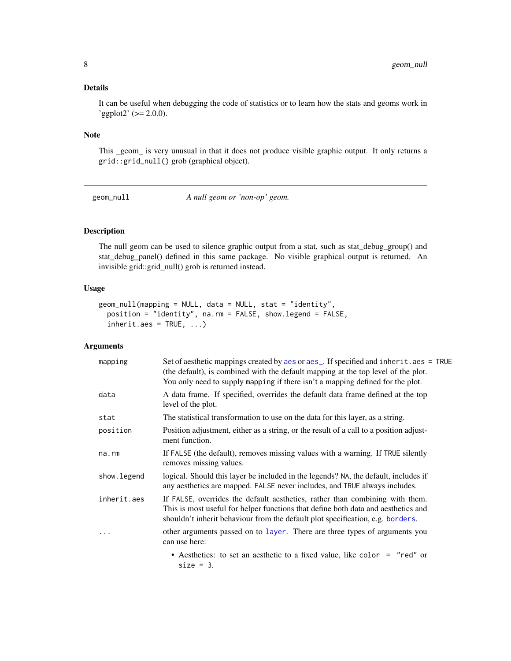### <span id="page-7-0"></span>Details

It can be useful when debugging the code of statistics or to learn how the stats and geoms work in  $'$ ggplot2' ( $>= 2.0.0$ ).

### Note

This \_geom\_ is very unusual in that it does not produce visible graphic output. It only returns a grid::grid\_null() grob (graphical object).

geom\_null *A null geom or 'non-op' geom.*

#### Description

The null geom can be used to silence graphic output from a stat, such as stat\_debug\_group() and stat\_debug\_panel() defined in this same package. No visible graphical output is returned. An invisible grid::grid\_null() grob is returned instead.

# Usage

```
geom_null(mapping = NULL, data = NULL, stat = "identity",
 position = "identity", na.rm = FALSE, show.legend = FALSE,
  inherit.aes = TRUE, ...
```
#### Arguments

| mapping      | Set of aesthetic mappings created by aes or aes_. If specified and inherit.aes = TRUE<br>(the default), is combined with the default mapping at the top level of the plot.<br>You only need to supply mapping if there isn't a mapping defined for the plot. |
|--------------|--------------------------------------------------------------------------------------------------------------------------------------------------------------------------------------------------------------------------------------------------------------|
| data         | A data frame. If specified, overrides the default data frame defined at the top<br>level of the plot.                                                                                                                                                        |
| stat         | The statistical transformation to use on the data for this layer, as a string.                                                                                                                                                                               |
| position     | Position adjustment, either as a string, or the result of a call to a position adjust-<br>ment function.                                                                                                                                                     |
| na.rm        | If FALSE (the default), removes missing values with a warning. If TRUE silently<br>removes missing values.                                                                                                                                                   |
| show. legend | logical. Should this layer be included in the legends? NA, the default, includes if<br>any aesthetics are mapped. FALSE never includes, and TRUE always includes.                                                                                            |
| inherit.aes  | If FALSE, overrides the default aesthetics, rather than combining with them.<br>This is most useful for helper functions that define both data and aesthetics and<br>shouldn't inherit behaviour from the default plot specification, e.g. borders.          |
|              | other arguments passed on to layer. There are three types of arguments you<br>can use here:                                                                                                                                                                  |
|              | • Aesthetics: to set an aesthetic to a fixed value, like color = "red" or<br>$size = 3$ .                                                                                                                                                                    |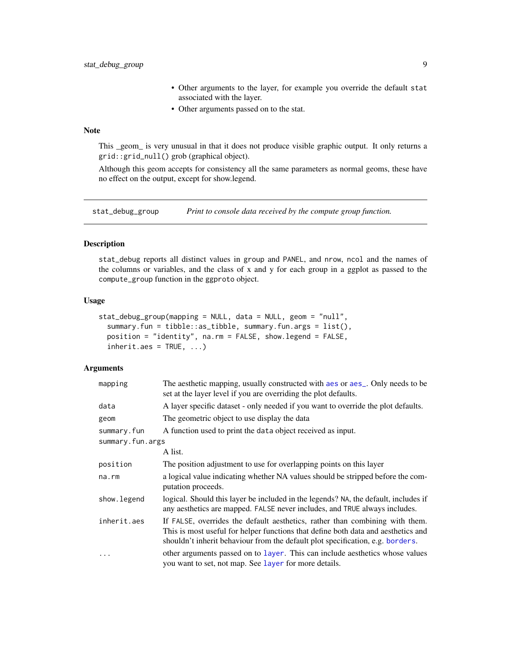- Other arguments to the layer, for example you override the default stat associated with the layer.
- Other arguments passed on to the stat.

# <span id="page-8-0"></span>Note

This \_geom\_ is very unusual in that it does not produce visible graphic output. It only returns a grid::grid\_null() grob (graphical object).

Although this geom accepts for consistency all the same parameters as normal geoms, these have no effect on the output, except for show.legend.

<span id="page-8-1"></span>stat\_debug\_group *Print to console data received by the compute group function.*

# Description

stat\_debug reports all distinct values in group and PANEL, and nrow, ncol and the names of the columns or variables, and the class of x and y for each group in a ggplot as passed to the compute\_group function in the ggproto object.

#### Usage

```
stat_debug_group(mapping = NULL, data = NULL, geom = "null",
  summary.fun = tibble::as_tibble, summary.fun.args = list(),
 position = "identity", na.rm = FALSE, show.legend = FALSE,
  inherit.aes = TRUE, ...
```
# Arguments

| mapping          | The aesthetic mapping, usually constructed with a es or a es_. Only needs to be<br>set at the layer level if you are overriding the plot defaults.                                                                                                  |
|------------------|-----------------------------------------------------------------------------------------------------------------------------------------------------------------------------------------------------------------------------------------------------|
| data             | A layer specific dataset - only needed if you want to override the plot defaults.                                                                                                                                                                   |
| geom             | The geometric object to use display the data                                                                                                                                                                                                        |
| summary.fun      | A function used to print the data object received as input.                                                                                                                                                                                         |
| summary.fun.args |                                                                                                                                                                                                                                                     |
|                  | A list.                                                                                                                                                                                                                                             |
| position         | The position adjustment to use for overlapping points on this layer                                                                                                                                                                                 |
| na.rm            | a logical value indicating whether NA values should be stripped before the com-<br>putation proceeds.                                                                                                                                               |
| show.legend      | logical. Should this layer be included in the legends? NA, the default, includes if<br>any aesthetics are mapped. FALSE never includes, and TRUE always includes.                                                                                   |
| inherit.aes      | If FALSE, overrides the default aesthetics, rather than combining with them.<br>This is most useful for helper functions that define both data and aesthetics and<br>shouldn't inherit behaviour from the default plot specification, e.g. borders. |
| .                | other arguments passed on to layer. This can include aesthetics whose values<br>you want to set, not map. See layer for more details.                                                                                                               |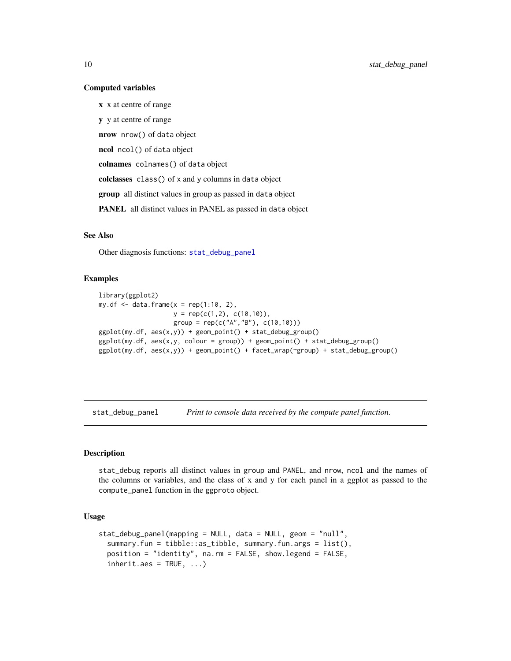#### Computed variables

x x at centre of range y y at centre of range nrow nrow() of data object ncol ncol() of data object colnames colnames() of data object colclasses class() of x and y columns in data object group all distinct values in group as passed in data object PANEL all distinct values in PANEL as passed in data object

# See Also

Other diagnosis functions: [stat\\_debug\\_panel](#page-9-1)

#### Examples

```
library(ggplot2)
my. df \leq -\text{data}. frame(x = rep(1:10, 2),y = rep(c(1,2), c(10,10)),group = rep(c("A", "B"), c(10,10)))ggplot(my.df, aes(x,y)) + geom_point() + stat_debug_group()
ggplot(my.df, aes(x,y, colour = group)) + geom-point() + stat_debug_group()ggplot(my.df, aes(x,y)) + geom\_point() + facet_wrap('group) + stat_debug\_group()
```
<span id="page-9-1"></span>stat\_debug\_panel *Print to console data received by the compute panel function.*

#### Description

stat\_debug reports all distinct values in group and PANEL, and nrow, ncol and the names of the columns or variables, and the class of x and y for each panel in a ggplot as passed to the compute\_panel function in the ggproto object.

#### Usage

```
stat_debug_panel(mapping = NULL, data = NULL, geom = "null",
  summary.fun = tibble::as_tibble, summary.fun.args = list(),
 position = "identity", na.rm = FALSE, show.legend = FALSE,
  inherit.aes = TRUE, ...
```
<span id="page-9-0"></span>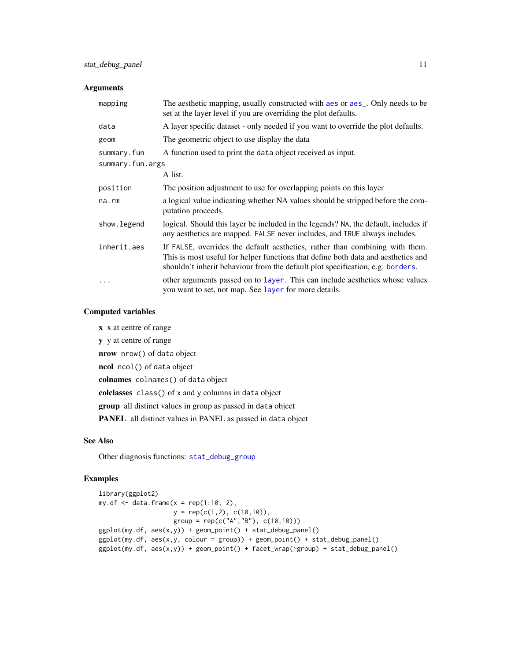# <span id="page-10-0"></span>Arguments

| mapping          | The aesthetic mapping, usually constructed with a es or a es_. Only needs to be<br>set at the layer level if you are overriding the plot defaults.                                                                                                  |
|------------------|-----------------------------------------------------------------------------------------------------------------------------------------------------------------------------------------------------------------------------------------------------|
| data             | A layer specific dataset - only needed if you want to override the plot defaults.                                                                                                                                                                   |
| geom             | The geometric object to use display the data                                                                                                                                                                                                        |
| summary.fun      | A function used to print the data object received as input.                                                                                                                                                                                         |
| summary.fun.args |                                                                                                                                                                                                                                                     |
|                  | A list.                                                                                                                                                                                                                                             |
| position         | The position adjustment to use for overlapping points on this layer                                                                                                                                                                                 |
| na.rm            | a logical value indicating whether NA values should be stripped before the com-<br>putation proceeds.                                                                                                                                               |
| show.legend      | logical. Should this layer be included in the legends? NA, the default, includes if<br>any aesthetics are mapped. FALSE never includes, and TRUE always includes.                                                                                   |
| inherit.aes      | If FALSE, overrides the default aesthetics, rather than combining with them.<br>This is most useful for helper functions that define both data and aesthetics and<br>shouldn't inherit behaviour from the default plot specification, e.g. borders. |
|                  | other arguments passed on to layer. This can include aesthetics whose values<br>you want to set, not map. See layer for more details.                                                                                                               |

#### Computed variables

x x at centre of range y y at centre of range nrow nrow() of data object ncol ncol() of data object colnames colnames() of data object colclasses class() of x and y columns in data object group all distinct values in group as passed in data object PANEL all distinct values in PANEL as passed in data object

# See Also

Other diagnosis functions: [stat\\_debug\\_group](#page-8-1)

## Examples

```
library(ggplot2)
my.df \leq data.frame(x = rep(1:10, 2),
                    y = rep(c(1,2), c(10,10)),group = rep(c("A", "B"), c(10,10)))ggplot(my.df, aes(x,y)) + geom\_point() + stat\_debug\_panel()ggplot(my.df, aes(x,y, colour = group)) + geom-point() + stat_debug\_panel()ggplot(my.df, aes(x,y)) + geom_point() + facet_wrap(~group) + stat_debug_panel()
```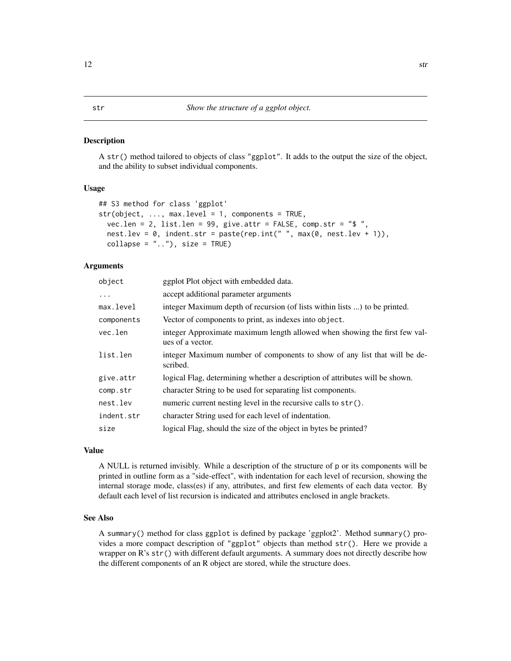#### <span id="page-11-0"></span>Description

A str() method tailored to objects of class "ggplot". It adds to the output the size of the object, and the ability to subset individual components.

#### Usage

```
## S3 method for class 'ggplot'
str(object, ..., max.level = 1, components = TRUE,vec.len = 2, list.len = 99, give.attr = FALSE, comp.str = "$ ",
 nest.lev = 0, indent str = paste(rep.int(" " , max(0, nest.lev + 1)),collapse = ".."), size = TRUE)
```
#### Arguments

| object     | ggplot Plot object with embedded data.                                                         |
|------------|------------------------------------------------------------------------------------------------|
| $\ddots$   | accept additional parameter arguments                                                          |
| max.level  | integer Maximum depth of recursion (of lists within lists ) to be printed.                     |
| components | Vector of components to print, as indexes into object.                                         |
| vec.len    | integer Approximate maximum length allowed when showing the first few val-<br>ues of a vector. |
| list.len   | integer Maximum number of components to show of any list that will be de-<br>scribed.          |
| give.attr  | logical Flag, determining whether a description of attributes will be shown.                   |
| comp.str   | character String to be used for separating list components.                                    |
| nest.lev   | numeric current nesting level in the recursive calls to $str()$ .                              |
| indent.str | character String used for each level of indentation.                                           |
| size       | logical Flag, should the size of the object in bytes be printed?                               |
|            |                                                                                                |

# Value

A NULL is returned invisibly. While a description of the structure of p or its components will be printed in outline form as a "side-effect", with indentation for each level of recursion, showing the internal storage mode, class(es) if any, attributes, and first few elements of each data vector. By default each level of list recursion is indicated and attributes enclosed in angle brackets.

#### See Also

A summary() method for class ggplot is defined by package 'ggplot2'. Method summary() provides a more compact description of "ggplot" objects than method str(). Here we provide a wrapper on R's str() with different default arguments. A summary does not directly describe how the different components of an R object are stored, while the structure does.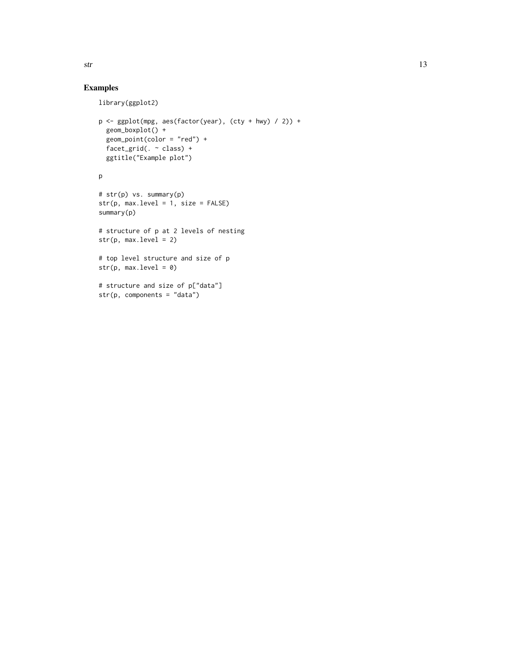# Examples

```
library(ggplot2)
p \leftarrow \text{ggplot}(\text{mpg}, \text{aes}(\text{factor}(year), (cty + hwy) / 2)) +geom_boxplot() +
  geom_point(color = "red") +
  facet_grid(. ~ class) +
  ggtitle("Example plot")
p
# str(p) vs. summary(p)
str(p, max.level = 1, size = FALSE)
summary(p)
# structure of p at 2 levels of nesting
str(p, max. level = 2)# top level structure and size of p
str(p, max.level = 0)
# structure and size of p["data"]
str(p, components = "data")
```